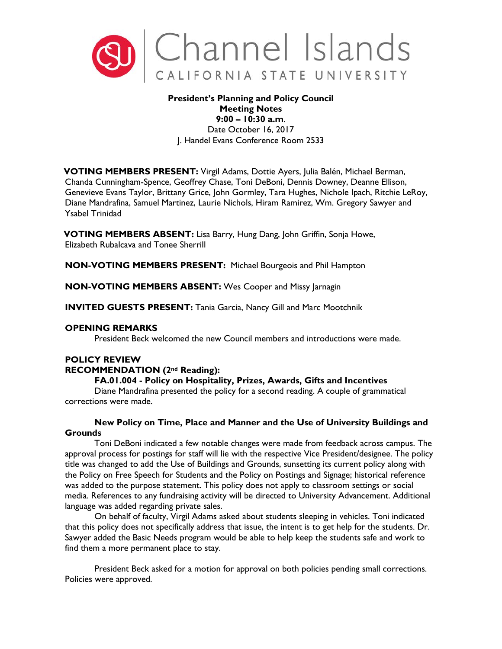

## **President's Planning and Policy Council Meeting Notes 9:00 – 10:30 a.m**.

Date October 16, 2017 J. Handel Evans Conference Room 2533

**VOTING MEMBERS PRESENT:** Virgil Adams, Dottie Ayers, Julia Balén, Michael Berman, Chanda Cunningham-Spence, Geoffrey Chase, Toni DeBoni, Dennis Downey, Deanne Ellison, Genevieve Evans Taylor, Brittany Grice, John Gormley, Tara Hughes, Nichole Ipach, Ritchie LeRoy, Diane Mandrafina, Samuel Martinez, Laurie Nichols, Hiram Ramirez, Wm. Gregory Sawyer and Ysabel Trinidad

**VOTING MEMBERS ABSENT:** Lisa Barry, Hung Dang, John Griffin, Sonja Howe, Elizabeth Rubalcava and Tonee Sherrill

**NON-VOTING MEMBERS PRESENT:** Michael Bourgeois and Phil Hampton

**NON-VOTING MEMBERS ABSENT:** Wes Cooper and Missy Jarnagin

**INVITED GUESTS PRESENT:** Tania Garcia, Nancy Gill and Marc Mootchnik

## **OPENING REMARKS**

President Beck welcomed the new Council members and introductions were made.

## **POLICY REVIEW**

## **RECOMMENDATION (2nd Reading):**

## **FA.01.004 - Policy on Hospitality, Prizes, Awards, Gifts and Incentives**

Diane Mandrafina presented the policy for a second reading. A couple of grammatical corrections were made.

# **New Policy on Time, Place and Manner and the Use of University Buildings and Grounds**

Toni DeBoni indicated a few notable changes were made from feedback across campus. The approval process for postings for staff will lie with the respective Vice President/designee. The policy title was changed to add the Use of Buildings and Grounds, sunsetting its current policy along with the Policy on Free Speech for Students and the Policy on Postings and Signage; historical reference was added to the purpose statement. This policy does not apply to classroom settings or social media. References to any fundraising activity will be directed to University Advancement. Additional language was added regarding private sales.

On behalf of faculty, Virgil Adams asked about students sleeping in vehicles. Toni indicated that this policy does not specifically address that issue, the intent is to get help for the students. Dr. Sawyer added the Basic Needs program would be able to help keep the students safe and work to find them a more permanent place to stay.

President Beck asked for a motion for approval on both policies pending small corrections. Policies were approved.